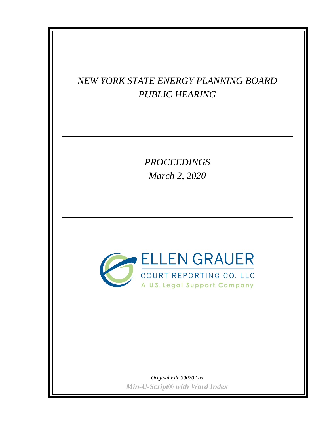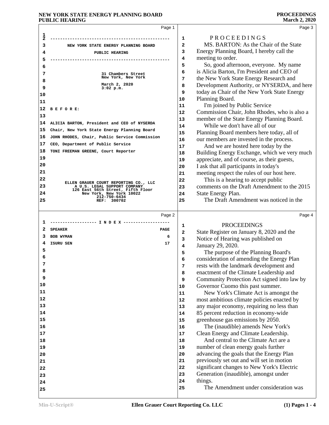|               | Page 1                                                            |                | Page 3                                                                                 |
|---------------|-------------------------------------------------------------------|----------------|----------------------------------------------------------------------------------------|
| $\frac{1}{2}$ |                                                                   |                |                                                                                        |
|               |                                                                   | 1              | PROCEEDINGS<br>MS. BARTON: As the Chair of the State                                   |
| 3             | NEW YORK STATE ENERGY PLANNING BOARD                              | $\overline{a}$ | Energy Planning Board, I hereby call the                                               |
| 4             | PUBLIC HEARING                                                    | 3<br>4         | meeting to order.                                                                      |
| 5             |                                                                   | 5              | So, good afternoon, everyone. My name                                                  |
| 6             |                                                                   | 6              | is Alicia Barton, I'm President and CEO of                                             |
| 7             | 31 Chambers Street<br>New York, New York                          | 7              | the New York State Energy Research and                                                 |
| 8             | March 2, 2020                                                     | 8              | Development Authority, or NYSERDA, and here                                            |
| 9             | $3:02$ p.m.                                                       | 9              | today as Chair of the New York State Energy                                            |
| 10            |                                                                   | 10             | Planning Board.                                                                        |
| 11            |                                                                   | 11             | I'm joined by Public Service                                                           |
| 12            | BEFORE:                                                           | 12             | Commission Chair, John Rhodes, who is also a                                           |
| 13            |                                                                   | 13             | member of the State Energy Planning Board.                                             |
| 14            | ALICIA BARTON, President and CEO of NYSERDA                       | 14             | While we don't have all of our                                                         |
| 15            | Chair, New York State Energy Planning Board                       | 15             | Planning Board members here today, all of                                              |
| 16            | JOHN RHODES, Chair, Public Service Commission                     | 16             | our members are invested in the process.                                               |
| 17            | CEO, Department of Public Service                                 | 17             | And we are hosted here today by the                                                    |
| 18            | TONI FREEMAN GREENE, Court Reporter                               | 18             | Building Energy Exchange, which we very much                                           |
| 19            |                                                                   | 19             | appreciate, and of course, as their guests,                                            |
| 20            |                                                                   | 20             | I ask that all participants in today's                                                 |
| 21            |                                                                   | 21             | meeting respect the rules of our host here.                                            |
| 22            | ELLEN GRAUER COURT REPORTING CO., LLC                             | 22             | This is a hearing to accept public                                                     |
| 23            | A U.S. LEGAL SUPPORT COMPANY<br>126 East 56th Street, Fifth Floor | 23             | comments on the Draft Amendment to the 2015                                            |
| 24            | New York, New York 10022<br>212-750-6434                          | 24             | State Energy Plan.                                                                     |
| 25            | 300702<br>REF:                                                    | 25             | The Draft Amendment was noticed in the                                                 |
|               |                                                                   |                |                                                                                        |
|               |                                                                   |                |                                                                                        |
|               | Page 2                                                            |                | Page 4                                                                                 |
| ı             |                                                                   |                |                                                                                        |
| 2             | <b>SPEAKER</b><br><b>PAGE</b>                                     | 1              | <b>PROCEEDINGS</b>                                                                     |
| З             | <b>BOB WYMAN</b><br>6                                             | 2              | State Register on January 8, 2020 and the                                              |
| 4             | ISURU SEN<br>17                                                   | 3              | Notice of Hearing was published on                                                     |
| 5             |                                                                   | 4<br>5         | January 29, 2020.                                                                      |
| 6             |                                                                   | 6              | The purpose of the Planning Board's                                                    |
|               |                                                                   | 7              | consideration of amending the Energy Plan                                              |
| 8             |                                                                   | 8              | rests with the landmark development and                                                |
| 9             |                                                                   | 9              | enactment of the Climate Leadership and<br>Community Protection Act signed into law by |
| 10            |                                                                   | 10             | Governor Cuomo this past summer.                                                       |
| 11            |                                                                   | 11             | New York's Climate Act is amongst the                                                  |
| 12            |                                                                   | 12             | most ambitious climate policies enacted by                                             |
| 13            |                                                                   | 13             | any major economy, requiring no less than                                              |
| 14            |                                                                   | 14             | 85 percent reduction in economy-wide                                                   |
| 15            |                                                                   | 15             | greenhouse gas emissions by 2050.                                                      |
| 16            |                                                                   | 16             | The (inaudible) amends New York's                                                      |
| 17            |                                                                   | 17             | Clean Energy and Climate Leadership.                                                   |
| 18            |                                                                   | 18             | And central to the Climate Act are a                                                   |
| 19            |                                                                   | 19             | number of clean energy goals further                                                   |
| 20            |                                                                   | 20             | advancing the goals that the Energy Plan                                               |
| 21            |                                                                   | 21             | previously set out and will set in motion                                              |
| 22            |                                                                   | 22             | significant changes to New York's Electric                                             |
| 23            |                                                                   | 23             | Generation (inaudible), amongst under                                                  |
| 24            |                                                                   | 24<br>25       | things.<br>The Amendment under consideration was                                       |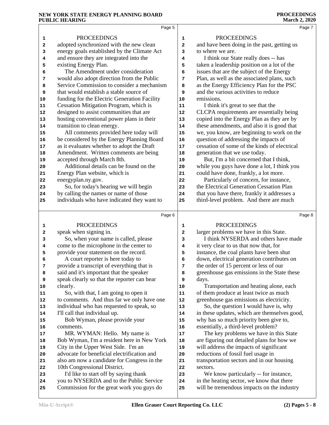|    | Page 5                                       |              | Page 7                                       |
|----|----------------------------------------------|--------------|----------------------------------------------|
| 1  | <b>PROCEEDINGS</b>                           | 1            | <b>PROCEEDINGS</b>                           |
| 2  | adopted synchronized with the new clean      | $\mathbf{2}$ | and have been doing in the past, getting us  |
| 3  | energy goals established by the Climate Act  | 3            | to where we are.                             |
| 4  | and ensure they are integrated into the      | 4            | I think our State really does -- has         |
| 5  | existing Energy Plan.                        | 5            | taken a leadership position on a lot of the  |
| 6  | The Amendment under consideration            | 6            | issues that are the subject of the Energy    |
| 7  | would also adopt direction from the Public   | 7            | Plan, as well as the associated plans, such  |
| 8  | Service Commission to consider a mechanism   | 8            | as the Energy Efficiency Plan for the PSC    |
| 9  | that would establish a stable source of      | 9            | and the various activities to reduce         |
| 10 | funding for the Electric Generation Facility | 10           | emissions.                                   |
| 11 | Cessation Mitigation Program, which is       | 11           | I think it's great to see that the           |
| 12 | designed to assist communities that are      | 12           | CLCPA requirements are essentially being     |
| 13 | hosting conventional power plans in their    | 13           | copied into the Energy Plan as they are by   |
| 14 | transition to clean energy.                  | 14           | these amendments, and also it is good that   |
| 15 | All comments provided here today will        | 15           | we, you know, are beginning to work on the   |
| 16 | be considered by the Energy Planning Board   | 16           | question of addressing the impacts of        |
| 17 | as it evaluates whether to adopt the Draft   | $17$         | cessation of some of the kinds of electrical |
| 18 | Amendment. Written comments are being        | 18           | generation that we use today.                |
| 19 | accepted through March 8th.                  | 19           | But, I'm a bit concerned that I think,       |
| 20 | Additional details can be found on the       | 20           | while you guys have done a lot, I think you  |
| 21 | Energy Plan website, which is                | 21           | could have done, frankly, a lot more.        |
| 22 | energyplan.ny.gov.                           | 22           | Particularly of concern, for instance,       |
| 23 | So, for today's hearing we will begin        | 23           | the Electrical Generation Cessation Plan     |
| 24 | by calling the names or name of those        | 24           | that you have there, frankly it addresses a  |
| 25 | individuals who have indicated they want to  | 25           | third-level problem. And there are much      |
|    | Page 6                                       |              | Page 8                                       |
| 1  | <b>PROCEEDINGS</b>                           | 1            | <b>PROCEEDINGS</b>                           |
| 2  | speak when signing in.                       | 2            | larger problems we have in this State.       |
| 3  | So, when your name is called, please         | 3            | I think NYSERDA and others have made         |
| 4  | come to the microphone in the center to      | 4            | it very clear to us that now that, for       |
| 5  | provide your statement on the record.        | 5            | instance, the coal plants have been shut     |
| 6  | A court reporter is here today to            | 6            | down, electrical generation contributes on   |
| 7  | provide a transcript of everything that is   | 7            | the order of 15 percent or less of our       |
| 8  | said and it's important that the speaker     | 8            | greenhouse gas emissions in the State these  |
| 9  | speak clearly so that the reporter can hear  | 9            | days.                                        |
| 10 | clearly.                                     | 10           | Transportation and heating alone, each       |
| 11 | So, with that, I am going to open it         | 11           | of them produce at least twice as much       |
| 12 | to comments. And thus far we only have one   | 12           | greenhouse gas emissions as electricity.     |
| 13 | individual who has requested to speak, so    | 13           | So, the question I would have is, why        |
| 14 | I'll call that individual up.                | 14           | in these updates, which are themselves good, |
| 15 | Bob Wyman, please provide your               | 15           | why has so much priority been give to,       |
| 16 | comments.                                    | 16           | essentially, a third-level problem?          |
| 17 | MR. WYMAN: Hello. My name is                 | $17\,$       | The key problems we have in this State       |
| 18 | Bob Wyman, I'm a resident here in New York   | 18           | are figuring out detailed plans for how we   |
| 19 | City in the Upper West Side. I'm an          | 19           | will address the impacts of significant      |
| 20 | advocate for beneficial electrification and  | 20           | reductions of fossil fuel usage in           |
| 21 | also am now a candidate for Congress in the  | 21           | transportation sectors and in our housing    |
| 22 | 10th Congressional District.                 | 22           | sectors.                                     |
| 23 | I'd like to start off by saying thank        | 23           | We know particularly -- for instance,        |
| 24 | you to NYSERDA and to the Public Service     | 24           | in the heating sector, we know that there    |
| 25 | Commission for the great work you guys do    | 25           | will be tremendous impacts on the industry   |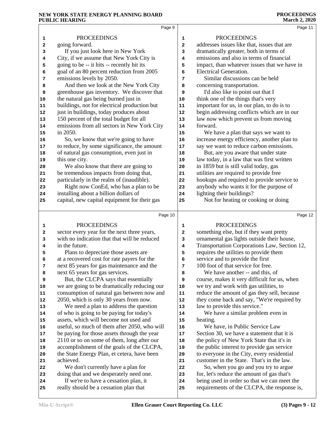|        | Page 9                                                                                      |              | Page 11                                                                                    |
|--------|---------------------------------------------------------------------------------------------|--------------|--------------------------------------------------------------------------------------------|
|        | <b>PROCEEDINGS</b>                                                                          | 1            | <b>PROCEEDINGS</b>                                                                         |
| 1<br>2 | going forward.                                                                              | $\mathbf{2}$ | addresses issues like that, issues that are                                                |
| з      | If you just look here in New York                                                           | 3            | dramatically greater, both in terms of                                                     |
| 4      | City, if we assume that New York City is                                                    | 4            | emissions and also in terms of financial                                                   |
| 5      | going to be -- it hits -- recently hit its                                                  | 5            | impact, than whatever issues that we have in                                               |
| 6      | goal of an 80 percent reduction from 2005                                                   | 6            | Electrical Generation.                                                                     |
| 7      | emissions levels by 2050.                                                                   | 7            | Similar discussions can be held                                                            |
| 8      | And then we look at the New York City                                                       | 8            | concerning transportation.                                                                 |
| 9      | greenhouse gas inventory. We discover that                                                  | 9            | I'd also like to point out that I                                                          |
| $10$   | the natural gas being burned just in                                                        | 10           | think one of the things that's very                                                        |
| 11     | buildings, not for electrical production but                                                | 11           | important for us, in our plan, to do is to                                                 |
| 12     | just in buildings, today produces about                                                     | 12           | begin addressing conflicts which are in our                                                |
| 13     | 150 percent of the total budget for all                                                     | 13           | law now which prevent us from moving                                                       |
| 14     | emissions from all sectors in New York City                                                 | 14           | forward.                                                                                   |
| 15     | in 2050.                                                                                    | 15           | We have a plan that says we want to                                                        |
| 16     | So, we know that we're going to have                                                        | 16           | increase energy efficiency, another plan to                                                |
| 17     | to reduce, by some significance, the amount                                                 | 17           | say we want to reduce carbon emissions.                                                    |
| 18     | of natural gas consumption, even just in                                                    | 18           | But, are you aware that under state                                                        |
| 19     | this one city.                                                                              | 19           | law today, in a law that was first written                                                 |
| 20     | We also know that there are going to                                                        | 20           | in 1859 but is still valid today, gas                                                      |
| 21     | be tremendous impacts from doing that,                                                      | 21           | utilities are required to provide free                                                     |
| 22     | particularly in the realm of (inaudible).                                                   | 22           | hookups and required to provide service to                                                 |
| 23     | Right now ConEd, who has a plan to be                                                       | 23           | anybody who wants it for the purpose of                                                    |
| 24     | installing about a billion dollars of                                                       | 24           | lighting their buildings?                                                                  |
| 25     | capital, new capital equipment for their gas                                                | 25           | Not for heating or cooking or doing                                                        |
|        | Page 10                                                                                     |              | Page 12                                                                                    |
|        |                                                                                             |              |                                                                                            |
| 1      | <b>PROCEEDINGS</b>                                                                          | $\mathbf{1}$ | <b>PROCEEDINGS</b>                                                                         |
| 2      | sector every year for the next three years,<br>with no indication that that will be reduced | 2            | something else, but if they want pretty<br>ornamental gas lights outside their house,      |
| 3<br>4 | in the future.                                                                              | 3<br>4       | Transportation Corporations Law, Section 12,                                               |
| 5      | Plans to depreciate those assets are                                                        | 5            | requires the utilities to provide them                                                     |
| 6      | at a recovered cost for rate payers for the                                                 | 6            | service and to provide the first                                                           |
| 7      | next 85 years for gas maintenance and the                                                   | 7            | 100 foot of that service for free.                                                         |
| 8      | next 65 years for gas services.                                                             | 8            | We have another -- and this, of                                                            |
| 9      | But, the CLCPA says that essentially                                                        | 9            | course, makes it very difficult for us, when                                               |
| 10     | we are going to be dramatically reducing our                                                | 10           | we try and work with gas utilities, to                                                     |
| 11     | consumption of natural gas between now and                                                  | ${\bf 11}$   | reduce the amount of gas they sell, because                                                |
| 12     | 2050, which is only 30 years from now.                                                      | 12           | they come back and say, "We're required by                                                 |
| 13     | We need a plan to address the question                                                      | 13           | law to provide this service."                                                              |
| 14     | of who is going to be paying for today's                                                    | 14           | We have a similar problem even in                                                          |
| 15     | assets, which will become not used and                                                      | 15           | heating.                                                                                   |
| 16     | useful, so much of them after 2050, who will                                                | 16           | We have, in Public Service Law                                                             |
| 17     | be paying for those assets through the year                                                 | 17           | Section 30, we have a statement that it is                                                 |
| 18     | 2110 or so on some of them, long after our                                                  | 18           | the policy of New York State that it's in                                                  |
| 19     | accomplishment of the goals of the CLCPA,                                                   | 19           | the public interest to provide gas service                                                 |
| 20     | the State Energy Plan, et cetera, have been                                                 | 20           | to everyone in the City, every residential                                                 |
| 21     | achieved.                                                                                   | 21           | customer in the State. That's in the law.                                                  |
| 22     | We don't currently have a plan for                                                          | 22           | So, when you go and you try to argue                                                       |
| 23     |                                                                                             |              |                                                                                            |
|        | doing that and we desperately need one.                                                     | 23           | for, let's reduce the amount of gas that's                                                 |
| 24     | If we're to have a cessation plan, it<br>really should be a cessation plan that             | 24           | being used in order so that we can meet the<br>requirements of the CLCPA, the response is, |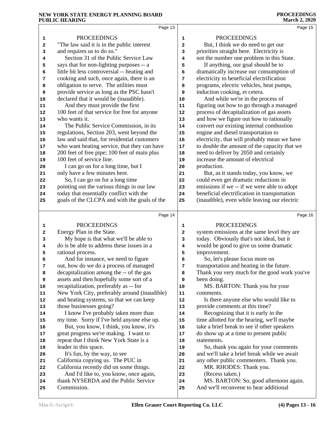|    | Page 13                                      |             | Page 15                                      |
|----|----------------------------------------------|-------------|----------------------------------------------|
| 1  | <b>PROCEEDINGS</b>                           | $\mathbf 1$ | <b>PROCEEDINGS</b>                           |
| 2  | "The law said it is in the public interest   | 2           | But, I think we do need to get our           |
| 3  | and requires us to do so."                   | 3           | priorities straight here. Electricity is     |
| 4  | Section 31 of the Public Service Law         | 4           | not the number one problem in this State.    |
| 5  | says that for non-lighting purposes -- a     | 5           | If anything, our goal should be to           |
| 6  | little bit less controversial -- heating and | 6           | dramatically increase our consumption of     |
| 7  | cooking and such, once again, there is an    | 7           | electricity to beneficial electrification    |
| 8  | obligation to serve. The utilities must      | 8           | programs, electric vehicles, heat pumps,     |
| 9  | provide service as long as the PSC hasn't    | 9           | induction cooking, et cetera.                |
| 10 | declared that it would be (inaudible).       | 10          | And while we're in the process of            |
| 11 | And they must provide the first              | 11          | figuring out how to go through a managed     |
| 12 | 100 feet of that service for free for anyone | 12          | process of decapitalization of gas assets    |
| 13 | who wants it.                                | 13          | and how we figure out how to rationally      |
| 14 | The Public Service Commission, in its        | 14          | convert our existing internal combustion     |
| 15 | regulations, Section 203, went beyond the    | 15          | engine and diesel transportation to          |
| 16 | law and said that, for residential customers | 16          | electricity, that will probably mean we have |
| 17 | who want heating service, that they can have | $17\,$      | to double the amount of the capacity that we |
| 18 | 200 feet of free pipe; 100 feet of main plus | 18          | need to deliver by 2050 and certainly        |
| 19 | 100 feet of service line.                    | 19          | increase the amount of electrical            |
| 20 | I can go on for a long time, but I           | 20          | production.                                  |
| 21 | only have a few minutes here.                | 21          | But, as it stands today, you know, we        |
| 22 | So, I can go on for a long time              | 22          | could even get dramatic reductions in        |
| 23 | pointing out the various things in our law   | 23          | emissions if we -- if we were able to adopt  |
| 24 | today that essentially conflict with the     | 24          | beneficial electrification in transportation |
| 25 | goals of the CLCPA and with the goals of the | 25          | (inaudible), even while leaving our electric |
|    |                                              |             |                                              |
|    | Page 14                                      |             | Page 16                                      |
| 1  | <b>PROCEEDINGS</b>                           | 1           | <b>PROCEEDINGS</b>                           |
| 2  | Energy Plan in the State.                    | 2           | system emissions at the same level they are  |
| 3  | My hope is that what we'll be able to        | 3           | today. Obviously that's not ideal, but it    |
| 4  | do is be able to address these issues in a   | 4           | would be good to give us some dramatic       |
| 5  | rational process.                            | 5           | improvement.                                 |
| 6  | And for instance, we need to figure          | 6           | So, let's please focus more on               |
| 7  | out, how do we do a process of managed       | 7           | transportation and heating in the future.    |
| 8  | decapitalization among the -- of the gas     | 8           | Thank you very much for the good work you've |
| 9  | assets and then hopefully some sort of a     | 9           | been doing.                                  |
| 10 | recapitalization, preferably as -- for       | ${\bf 10}$  | MS. BARTON: Thank you for your               |
| 11 | New York City, preferably around (inaudible) | ${\bf 11}$  | comments.                                    |
| 12 | and heating systems, so that we can keep     | ${\bf 12}$  | Is there anyone else who would like to       |
| 13 | those businesses going?                      | 13          | provide comments at this time?               |
| 14 | I know I've probably taken more than         | 14          | Recognizing that it is early in the          |
| 15 | my time. Sorry if I've held anyone else up.  | 15          | time allotted for the hearing, we'll maybe   |
| 16 | But, you know, I think, you know, it's       | 16          | take a brief break to see if other speakers  |
| 17 | great progress we're making. I want to       | 17          | do show up at a time to present public       |
| 18 | repeat that I think New York State is a      | 18          | statements.                                  |
| 19 | leader in this space.                        | 19          | So, thank you again for your comments        |
| 20 | It's fun, by the way, to see                 | 20          | and we'll take a brief break while we await  |
| 21 | California copying us. The PUC in            | 21          | any other public commenters. Thank you.      |
| 22 | California recently did on some things.      | 22          | MR. RHODES: Thank you.                       |
| 23 | And I'd like to, you know, once again,       | 23          | (Recess taken.)                              |
| 24 | thank NYSERDA and the Public Service         | 24          | MS. BARTON: So, good afternoon again.        |
| 25 | Commission.                                  | 25          | And we'll reconvene to hear additional       |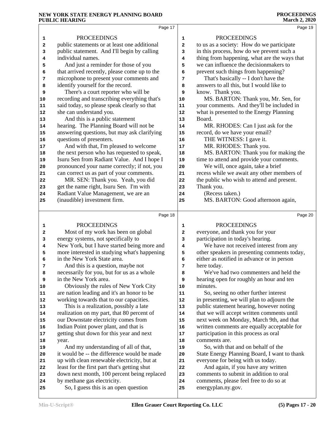|            | Page 17                                                                            |              | Page 19                                                                            |  |
|------------|------------------------------------------------------------------------------------|--------------|------------------------------------------------------------------------------------|--|
| 1          | <b>PROCEEDINGS</b>                                                                 | 1            | <b>PROCEEDINGS</b>                                                                 |  |
| 2          | public statements or at least one additional                                       | $\mathbf{z}$ | to us as a society: How do we participate                                          |  |
| 3          | public statement. And I'll begin by calling                                        | 3            | in this process, how do we prevent such a                                          |  |
| 4          | individual names.                                                                  | 4            | thing from happening, what are the ways that                                       |  |
| 5          | And just a reminder for those of you                                               | 5            | we can influence the decision makers to                                            |  |
| 6          | that arrived recently, please come up to the                                       | 6            | prevent such things from happening?                                                |  |
| 7          | microphone to present your comments and                                            | 7            | That's basically -- I don't have the                                               |  |
| 8          | identify yourself for the record.                                                  | 8            | answers to all this, but I would like to                                           |  |
| 9          | There's a court reporter who will be                                               | 9            | know. Thank you.                                                                   |  |
| 10         | recording and transcribing everything that's                                       | 10           | MS. BARTON: Thank you, Mr. Sen, for                                                |  |
| ${\bf 11}$ | said today, so please speak clearly so that                                        | ${\bf 11}$   | your comments. And they'll be included in                                          |  |
| 12         | she can understand you.                                                            | 12           | what is presented to the Energy Planning                                           |  |
| 13         | And this is a public statement                                                     | 13           | Board.                                                                             |  |
| 14         | hearing. The Planning Board will not be                                            | 14           | MR. RHODES: Can I just ask for the                                                 |  |
| 15         | answering questions, but may ask clarifying                                        | 15           | record, do we have your email?                                                     |  |
| 16         | questions of presenters.                                                           | 16           | THE WITNESS: I gave it.                                                            |  |
| 17         | And with that, I'm pleased to welcome                                              | 17           | MR. RHODES: Thank you.                                                             |  |
| 18         | the next person who has requested to speak,                                        | 18           | MS. BARTON: Thank you for making the                                               |  |
| 19         | Isuru Sen from Radiant Value. And I hope I                                         | 19           | time to attend and provide your comments.                                          |  |
| 20         | pronounced your name correctly; if not, you                                        | 20           | We will, once again, take a brief                                                  |  |
| 21         | can correct us as part of your comments.                                           | 21           | recess while we await any other members of                                         |  |
| 22         | MR. SEN: Thank you. Yeah, you did                                                  | 22           | the public who wish to attend and present.                                         |  |
| 23         | get the name right, Isuru Sen. I'm with                                            | 23           | Thank you.                                                                         |  |
| ${\bf 24}$ | Radiant Value Management, we are an                                                | 24           | (Recess taken.)                                                                    |  |
| 25         | (inaudible) investment firm.                                                       | 25           | MS. BARTON: Good afternoon again,                                                  |  |
|            |                                                                                    |              |                                                                                    |  |
|            |                                                                                    |              |                                                                                    |  |
|            | Page 18                                                                            |              | Page 20                                                                            |  |
|            |                                                                                    |              |                                                                                    |  |
| 1          | <b>PROCEEDINGS</b>                                                                 | 1            | <b>PROCEEDINGS</b>                                                                 |  |
| 2          | Most of my work has been on global                                                 | 2            | everyone, and thank you for your                                                   |  |
| 3          | energy systems, not specifically to                                                | 3            | participation in today's hearing.                                                  |  |
| 4          | New York, but I have started being more and                                        | 4            | We have not received interest from any                                             |  |
| 5          | more interested in studying what's happening                                       | 5            | other speakers in presenting comments today,                                       |  |
| 6          | in the New York State area.                                                        | 6<br>7       | either as notified in advance or in person                                         |  |
| 7          | And this is a question, maybe not                                                  | 8            | here today.                                                                        |  |
| 8<br>9     | necessarily for you, but for us as a whole<br>in the New York area.                | 9            | We've had two commenters and held the                                              |  |
|            |                                                                                    | 10           | hearing open for roughly an hour and ten<br>minutes.                               |  |
| 10<br>11   | Obviously the rules of New York City<br>are nation leading and it's an honor to be | 11           |                                                                                    |  |
| 12         | working towards that to our capacities.                                            | 12           | So, seeing no other further interest<br>in presenting, we will plan to adjourn the |  |
| 13         | This is a realization, possibly a late                                             | 13           | public statement hearing, however noting                                           |  |
| 14         | realization on my part, that 80 percent of                                         | 14           | that we will accept written comments until                                         |  |
| 15         | our Downstate electricity comes from                                               | 15           | next week on Monday, March 9th, and that                                           |  |
| 16         | Indian Point power plant, and that is                                              | 16           | written comments are equally acceptable for                                        |  |
| 17         | getting shut down for this year and next                                           | 17           | participation in this process as oral                                              |  |
| 18         | year.                                                                              | 18           | comments are.                                                                      |  |
| 19         | And my understanding of all of that,                                               | 19           | So, with that and on behalf of the                                                 |  |
| 20         | it would be -- the difference would be made                                        | 20           | State Energy Planning Board, I want to thank                                       |  |
| 21         | up with clean renewable electricity, but at                                        | 21           | everyone for being with us today.                                                  |  |
| 22         | least for the first part that's getting shut                                       | 22           | And again, if you have any written                                                 |  |
| 23         | down next month, 100 percent being replaced                                        | 23           | comments to submit in addition to oral                                             |  |
| 24         | by methane gas electricity.                                                        | 24           | comments, please feel free to do so at                                             |  |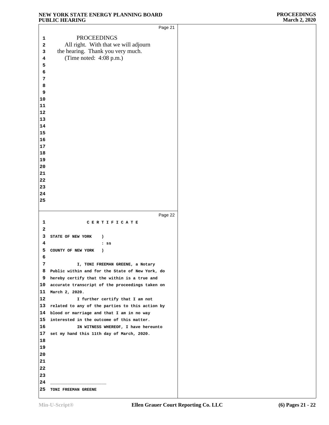|                         | Page 21                                         |
|-------------------------|-------------------------------------------------|
| 1                       | <b>PROCEEDINGS</b>                              |
| $\overline{\mathbf{2}}$ | All right. With that we will adjourn            |
| 3                       | the hearing. Thank you very much.               |
| 4                       | (Time noted: 4:08 p.m.)                         |
|                         |                                                 |
| 5                       |                                                 |
| 6                       |                                                 |
| 7                       |                                                 |
| 8                       |                                                 |
| 9                       |                                                 |
| 10                      |                                                 |
| 11                      |                                                 |
| 12                      |                                                 |
| 13                      |                                                 |
| 14                      |                                                 |
| 15                      |                                                 |
| 16                      |                                                 |
| 17                      |                                                 |
| 18                      |                                                 |
| 19<br>20                |                                                 |
| 21                      |                                                 |
| 22                      |                                                 |
| 23                      |                                                 |
| 24                      |                                                 |
| 25                      |                                                 |
|                         |                                                 |
|                         |                                                 |
|                         |                                                 |
|                         | Page 22                                         |
| 1                       | CERTIFICATE                                     |
| 2                       |                                                 |
| 3                       | STATE OF NEW YORK<br>$\lambda$                  |
| 4                       | $:$ SS                                          |
| 5                       | COUNTY OF NEW YORK<br>$\lambda$                 |
| 6                       |                                                 |
| 7                       | I, TONI FREEMAN GREENE, a Notary                |
| 8                       | Public within and for the State of New York, do |
| 9                       | hereby certify that the within is a true and    |
| 10                      | accurate transcript of the proceedings taken on |
| 11                      | March 2, 2020.                                  |
| 12                      | I further certify that I am not                 |
| 13                      | related to any of the parties to this action by |
| 14                      | blood or marriage and that I am in no way       |
| 15                      | interested in the outcome of this matter.       |
| 16                      | IN WITNESS WHEREOF, I have hereunto             |
| 17                      | set my hand this 11th day of March, 2020.       |
| 18                      |                                                 |
| 19                      |                                                 |
| 20                      |                                                 |
| 21                      |                                                 |
| 22                      |                                                 |
| 23                      |                                                 |
| 24                      |                                                 |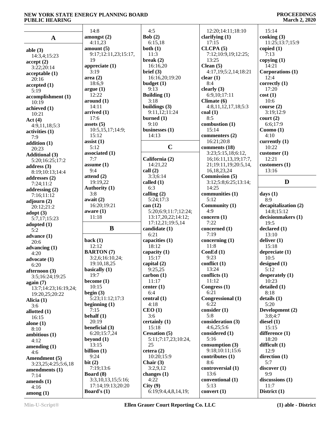#### **PROCEEDINGS March 2, 2020**

|                                | 14:8                 | 4:5                  | 12:20;14:11;18:10    | 15:14                 |
|--------------------------------|----------------------|----------------------|----------------------|-----------------------|
| $\mathbf A$                    | amongst $(2)$        | Bob(2)               | clarifying (1)       | cooking (3)           |
|                                | 4:11,23              | 6:15,18              | 17:15                | 11:25;13:7;15:9       |
| able $(3)$                     | amount(5)            | both $(1)$           | CLCPA(5)             | copied $(1)$          |
| 14:3,4;15:23                   | 9:17;12:11,23;15:17, | 11:3                 | 7:12;10:9,19;12:25;  | 7:13                  |
| accept(2)                      | 19                   | break $(2)$          | 13:25                | copying $(1)$         |
| 3:22;20:14                     | appreciate $(1)$     | 16:16,20             | Clean $(5)$          | 14:21                 |
| acceptable(1)                  | 3:19                 | brief (3)            | 4:17,19;5:2,14;18:21 | Corporations (1)      |
| 20:16                          | area(2)              | 16:16,20;19:20       | clear $(1)$          | 12:4                  |
|                                | 18:6,9               | budget(1)            | 8:4                  | correctly (1)         |
| accepted (1)                   | argue(1)             | 9:13                 | clearly $(3)$        | 17:20                 |
| 5:19                           | 12:22                | Building (1)         | 6:9,10;17:11         | cost(1)               |
| accomplishment (1)             | around (1)           | 3:18                 | Climate (6)          | 10:6                  |
| 10:19                          | 14:11                | buildings $(3)$      | 4:8,11,12,17,18;5:3  | course $(2)$          |
| achieved (1)                   | arrived $(1)$        | 9:11,12;11:24        | $\text{coal}(1)$     | 3:19;12:9             |
| 10:21                          | 17:6                 | burned $(1)$         | 8:5                  | court (2)             |
| Act $(4)$                      |                      | 9:10                 |                      |                       |
| 4:9,11,18;5:3                  | assets $(5)$         |                      | combustion (1)       | 6:6;17:9              |
| activities (1)                 | 10:5,15,17;14:9;     | businesses (1)       | 15:14                | Cuomo $(1)$           |
| 7:9                            | 15:12                | 14:13                | commenters (2)       | 4:10                  |
| addition (1)                   | assist $(1)$         |                      | 16:21;20:8           | currently $(1)$       |
| 20:23                          | 5:12                 | $\mathbf C$          | comments (18)        | 10:22                 |
| <b>Additional (3)</b>          | associated (1)       |                      | 3:23;5:15,18;6:12,   | $\text{customer} (1)$ |
| 5:20;16:25;17:2                | 7:7                  | California (2)       | 16;16:11,13,19;17:7, | 12:21                 |
| address $(3)$                  | assume $(1)$         | 14:21,22             | 21;19:11,19;20:5,14, | customers (1)         |
| 8:19;10:13;14:4                | 9:4                  | call(2)              | 16, 18, 23, 24       | 13:16                 |
| addresses (2)                  | attend $(2)$         | 3:3;6:14             | Commission (5)       |                       |
| 7:24;11:2                      | 19:19,22             | called (1)           | 3:12;5:8;6:25;13:14; | D                     |
|                                | <b>Authority (1)</b> | 6:3                  | 14:25                |                       |
| addressing $(2)$               | 3:8                  | calling $(2)$        | communities (1)      | days $(1)$            |
| 7:16;11:12                     | await $(2)$          | 5:24;17:3            | 5:12                 | 8:9                   |
| adjourn $(2)$                  | 16:20;19:21          | can (12)             | Community (1)        | decapitalization (2)  |
| 20:12;21:2                     | aware $(1)$          | 5:20;6:9;11:7;12:24; | 4:9                  | 14:8;15:12            |
| $\text{adopt}(3)$              | 11:18                |                      |                      |                       |
| 5:7,17;15:23                   |                      | 13:17,20,22;14:12;   | concern $(1)$        | decisionmakers (1)    |
| adopted $(1)$                  |                      | 17:12,21;19:5,14     | 7:22                 | 19:5                  |
| 5:2                            | B                    | candidate (1)        | concerned (1)        | declared(1)           |
| advance $(1)$                  |                      | 6:21                 | 7:19                 | 13:10                 |
| 20:6                           | back $(1)$           | capacities (1)       | concerning $(1)$     | deliver $(1)$         |
| advancing (1)                  | 12:12                | 18:12                | 11:8                 | 15:18                 |
| 4:20                           | <b>BARTON</b> (7)    | capacity (1)         | ConEd $(1)$          | depreciate (1)        |
| advocate (1)                   | 3:2,6;16:10,24;      | 15:17                | 9:23                 | 10:5                  |
| 6:20                           | 19:10,18,25          | capital (2)          | conflict (1)         | designed $(1)$        |
| afternoon $(3)$                | basically (1)        | 9:25,25              | 13:24                | 5:12                  |
| 3:5;16:24;19:25                | 19:7                 | carbon(1)            | conflicts (1)        | desperately (1)       |
| again (7)                      | become $(1)$         | 11:17                | 11:12                | 10:23                 |
| 13:7;14:23;16:19,24;           | 10:15                | center $(1)$         | Congress (1)         | detailed (1)          |
| 19:20,25;20:22                 | begin $(3)$          | 6:4                  | 6:21                 | 8:18                  |
|                                | 5:23;11:12;17:3      | central(1)           | Congressional (1)    | details(1)            |
| Alicia (1)                     | beginning $(1)$      | 4:18                 | 6:22                 | 5:20                  |
| 3:6                            | 7:15                 | CEO(1)               | consider (1)         | Development (2)       |
| allotted (1)                   | behalf $(1)$         | 3:6                  | 5:8                  | 3:8;4:7               |
| 16:15                          | 20:19                | certainly (1)        | consideration (3)    | diesel $(1)$          |
| alone $(1)$                    | beneficial (3)       | 15:18                | 4:6,25;5:6           | 15:15                 |
| 8:10                           |                      | <b>Cessation (5)</b> |                      | difference (1)        |
| ambitious (1)                  | 6:20;15:7,24         |                      | considered (1)       |                       |
| 4:12                           | beyond $(1)$         | 5:11;7:17,23;10:24,  | 5:16                 | 18:20                 |
| amending $(1)$                 | 13:15                | 25                   | consumption $(3)$    | difficult $(1)$       |
| 4:6                            | billion $(1)$        | cetera $(2)$         | 9:18;10:11;15:6      | 12:9                  |
| Amendment (5)                  | 9:24                 | 10:20;15:9           | contributes $(1)$    | direction $(1)$       |
| 3:23,25;4:25;5:6,18            | bit(2)               | Chair $(3)$          | 8:6                  | 5:7                   |
| amendments $(1)$               | 7:19:13:6            | 3:2,9,12             | controversial (1)    | discover(1)           |
| 7:14                           | Board (8)            | changes $(1)$        | 13:6                 | 9:9                   |
| amends $(1)$                   | 3:3,10,13,15;5:16;   | 4:22                 | conventional (1)     | discussions (1)       |
| 4:16                           | 17:14;19:13;20:20    | City(9)              | 5:13                 | 11:7                  |
| $\mathbf{among}\left(1\right)$ | Board's $(1)$        | 6:19;9:4,4,8,14,19;  | convert $(1)$        | District (1)          |
|                                |                      |                      |                      |                       |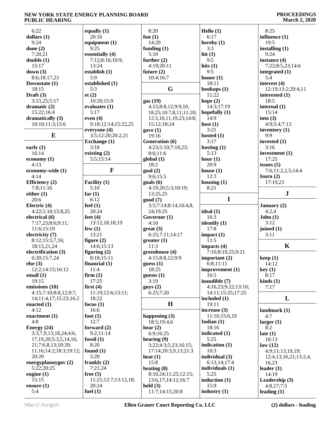| 6:22                                               | equally $(1)$        | 8:20                          | Hello (1)              | 8:25                            |
|----------------------------------------------------|----------------------|-------------------------------|------------------------|---------------------------------|
| dollars $(1)$                                      | 20:16                | fun $(1)$                     | 6:17                   | influence (1)                   |
| 9:24                                               | equipment $(1)$      | 14:20                         | hereby $(1)$           | 19:5                            |
| done $(2)$                                         | 9:25                 | funding $(1)$                 | 3:3                    | installing $(1)$                |
| 7:20,21                                            | essentially (4)      | 5:10                          | hit $(1)$              | 9:24                            |
| double(1)                                          | 7:12;8:16;10:9;      | further $(2)$                 | 9:5                    | instance (4)                    |
| 15:17                                              | 13:24                | 4:19;20:11                    | hits $(1)$             | 7:22;8:5,23;14:6                |
| down $(3)$                                         | establish $(1)$      | future $(2)$                  | 9:5                    | integrated (1)                  |
| 8:6;18:17,23                                       | 5:9                  | 10:4;16:7                     | honor $(1)$            | 5:4                             |
| Downstate (1)                                      | established (1)      |                               | 18:11                  | interest (4)                    |
| 18:15                                              | 5:3                  | G                             | hookups $(1)$          | 12:19;13:2;20:4,11              |
| Draft $(3)$                                        | et(2)                |                               | 11:22                  | interested (1)                  |
| 3:23,25;5:17                                       | 10:20;15:9           | gas (19)                      | hope $(2)$             | 18:5                            |
| dramatic $(2)$                                     | evaluates (1)        | 4:15;8:8,12;9:9,10,           | 14:3;17:19             | internal $(1)$                  |
| 15:22;16:4                                         | 5:17                 | 18,25;10:7,8,11;11:20;        | hopefully $(1)$        | 15:14                           |
| dramatically (3)                                   | even $(4)$           | 12:3, 10, 11, 19, 23; 14:8;   | 14:9                   | into $(3)$                      |
| 10:10;11:3;15:6                                    | 9:18;12:14;15:22,25  | 15:12;18:24                   | host $(1)$             | 4:9:5:4:7:13                    |
|                                                    | everyone $(4)$       | gave(1)                       | 3:21                   | inventory $(1)$                 |
| E                                                  | 3:5;12:20;20:2,21    | 19:16                         | hosted $(1)$           | 9:9                             |
|                                                    | <b>Exchange</b> (1)  | Generation (6)                | 3:17                   | invested $(1)$                  |
| early $(1)$                                        | 3:18                 | 4:23;5:10;7:18,23;            | hosting $(1)$          | 3:16                            |
| 16:14                                              | existing $(2)$       | 8:6;11:6                      | 5:13                   | investment (1)                  |
| economy $(1)$                                      | 5:5;15:14            | global(1)                     | hour $(1)$             | 17:25                           |
| 4:13                                               |                      | 18:2                          | 20:9                   | issues $(5)$                    |
| economy-wide (1)                                   | F                    | goal(2)                       | house $(1)$            | 7:6;11:2,2,5;14:4               |
| 4:14                                               |                      | 9:6;15:5                      | 12:3                   | Isuru $(2)$                     |
| <b>Efficiency</b> (2)                              | Facility (1)         | $\text{goals}$ (6)            | housing $(1)$          | 17:19,23                        |
| 7:8;11:16                                          | 5:10                 | 4:19,20;5:3;10:19;            | 8:21                   |                                 |
| either $(1)$                                       | far $(1)$            | 13:25,25                      |                        | ${\bf J}$                       |
| 20:6                                               | 6:12                 | good (7)                      | I                      |                                 |
|                                                    |                      |                               |                        |                                 |
| Electric (4)                                       | feel $(1)$           | 3:5;7:14;8:14;16:4,8,         |                        | January $(2)$                   |
| 4:22;5:10;15:8,25                                  | 20:24                | 24;19:25                      | ideal (1)              | 4:2,4                           |
| electrical (6)                                     | feet $(4)$           | Governor (1)                  | 16:3                   | John(1)                         |
| 7:17,23;8:6;9:11;                                  | 13:12,18,18,19       | 4:10                          | identify $(1)$         | 3:12                            |
| 11:6;15:19                                         | few $(1)$            | $gr(3)$                       | 17:8                   | joined $(1)$                    |
| electricity (7)                                    | 13:21                | 6:25;7:11;14:17               | impact(1)              | 3:11                            |
| 8:12;15:3,7,16;                                    | figure $(2)$         | greater(1)                    | 11:5                   |                                 |
| 18:15,21,24                                        | 14:6;15:13           | 11:3                          | impacts (4)            | $\mathbf K$                     |
| electrification (3)                                | figuring $(2)$       | greenhouse (4)                | 7:16;8:19,25;9:21      |                                 |
| 6:20;15:7,24                                       | 8:18;15:11           | 4:15;8:8,12;9:9               | important $(2)$        |                                 |
| else $(3)$                                         | financial $(1)$      |                               |                        | keep(1)                         |
|                                                    |                      | guess(1)                      | 6:8;11:11              | 14:12                           |
| 12:2;14:15;16:12                                   | 11:4                 | 18:25                         | improvement (1)        | key(1)                          |
| email $(1)$                                        | firm(1)              | guests $(1)$                  | 16:5                   | 8:17                            |
| 19:15                                              | 17:25                | 3:19                          | inaudible (7)          | $\boldsymbol{\text{kinds}}$ (1) |
| emissions (10)                                     | first $(4)$          | gays(2)                       | 4:16,23;9:22;13:10;    | 7:17                            |
| 4:15;7:10;8:8,12;9:7,                              | 11:19;12:6;13:11;    | 6:25;7:20                     | 14:11;15:25;17:25      |                                 |
| 14;11:4,17;15:23;16:2                              | 18:22                |                               | included $(1)$         | L                               |
| enacted $(1)$                                      | focus $(1)$          | H                             | 19:11                  |                                 |
| 4:12                                               | 16:6                 |                               | increase $(3)$         | landmark (1)                    |
| enactment $(1)$                                    | foot $(1)$           | happening $(3)$               | 11:16;15:6,19          | 4:7                             |
| 4:8                                                | 12:7                 | 18:5;19:4,6                   | Indian $(1)$           |                                 |
| Energy $(24)$                                      | forward (2)          |                               | 18:16                  | larger $(1)$<br>8:2             |
| 3:3,7,9,13,18,24;4:6,                              | 9:2;11:14            | hear $(2)$<br>6:9:16:25       | indicated (1)          | late $(1)$                      |
|                                                    | fossil $(1)$         |                               | 5:25                   | 18:13                           |
| 17, 19, 20; 5: 3, 5, 14, 16,<br>21;7:6,8,13;10:20; | 8:20                 | hearing $(9)$                 | indication $(1)$       | law(12)                         |
|                                                    |                      | 3:22;4:3;5:23;16:15;          | 10:3                   |                                 |
| 11:16;14:2;18:3;19:12;                             | found $(1)$          | 17:14;20:3,9,13;21:3          |                        | 4:9;11:13,19,19;                |
| 20:20                                              | 5:20                 | heat $(1)$                    | individual (3)         | 12:4, 13, 16, 21; 13:2, 4,      |
| energyplannygov (2)                                | frankly $(2)$        | 15:8                          | 6:13,14;17:4           | 16,23                           |
| 5:22;20:25                                         | 7:21,24              | heating $(8)$                 | individuals (1)        | leader $(1)$                    |
| engine $(1)$                                       | free $(5)$           | 8:10,24;11:25;12:15;          | 5:25                   | 14:19                           |
| 15:15                                              | 11:21;12:7;13:12,18; | 13:6,17;14:12;16:7            | induction $(1)$        | Leadership (3)                  |
| ensure $(1)$<br>5:4                                | 20:24<br>fuel $(1)$  | held $(3)$<br>11:7;14:15;20:8 | 15:9<br>industry $(1)$ | 4:8,17;7:5<br>leading $(1)$     |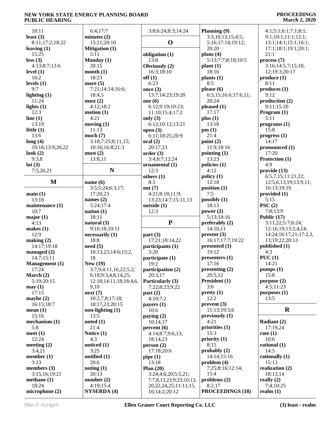#### **PROCEEDINGS March 2, 2020**

| 18:11                   | 6:4;17:7                        | 3:8;6:24;8:3;14:24                           | Planning (9)                      | 4:1;5:1;6:1;7:1;8:1;     |
|-------------------------|---------------------------------|----------------------------------------------|-----------------------------------|--------------------------|
| least $(3)$             | minutes $(2)$                   |                                              | 3:3,10,13,15;4:5;                 | 9:1;10:1;11:1;12:1;      |
| 8:11;17:2;18:22         | 13:21;20:10                     | $\mathbf 0$                                  | 5:16;17:14;19:12;                 | 13:1;14:1;15:1;16:1;     |
| leaving $(1)$           | <b>Mitigation (1)</b>           |                                              | 20:20                             | 17:1;18:1;19:1;20:1;     |
|                         |                                 |                                              |                                   |                          |
| 15:25                   | 5:11                            | obligation (1)                               | plans $(4)$                       | 21:1                     |
| less(3)                 | Monday (1)                      | 13:8                                         | 5:13;7:7;8:18;10:5                | process(7)               |
| 4:13;8:7;13:6           | 20:15                           | Obviously (2)                                | plant(1)                          | 3:16;14:5,7;15:10,       |
| level $(1)$             | month $(1)$                     | 16:3;18:10                                   | 18:16                             | 12;19:3;20:17            |
| 16:2                    | 18:23                           | off(1)                                       | plants $(1)$                      | produce (1)              |
| levels $(1)$            | more $(5)$                      | 6:23                                         | 8:5                               | 8:11                     |
| 9:7                     | 7:21;14:14;16:6;                | once $(3)$                                   | please $(6)$                      | produces(1)              |
|                         |                                 |                                              |                                   |                          |
| lighting $(1)$          | 18:4,5                          | 13:7;14:23;19:20                             | 6:3,15;16:6;17:6,11;              | 9:12                     |
| 11:24                   | most(2)                         | one $(6)$                                    | 20:24                             | production $(2)$         |
| lights $(1)$            | 4:12;18:2                       | 6:12;9:19;10:23;                             | pleased (1)                       | 9:11;15:20               |
| 12:3                    | motion(1)                       | 11:10;15:4;17:2                              | 17:17                             | Program $(1)$            |
| line $(1)$              | 4:21                            | only $(3)$                                   | plus(1)                           | 5:11                     |
| 13:19                   | moving $(1)$                    | 6:12;10:12;13:21                             | 13:18                             | programs(1)              |
| little $(1)$            | 11:13                           |                                              | pm(1)                             | 15:8                     |
|                         |                                 | open $(3)$                                   |                                   |                          |
| 13:6                    | much(7)                         | 6:11;18:25;20:9                              | 21:4                              | progress <sub>1</sub> )  |
| long(4)                 | 3:18;7:25;8:11,15;              | oral(2)                                      | point $(2)$                       | 14:17                    |
| 10:18;13:9,20,22        | 10:16:16:8:21:3                 | 20:17,23                                     | 11:9;18:16                        | pronounced $(1)$         |
| look $(2)$              | must(2)                         | order(3)                                     | pointing $(1)$                    | 17:20                    |
| 9:3,8                   | 13:8,11                         | 3:4;8:7;12:24                                | 13:23                             | Protection (1)           |
| lot(3)                  |                                 | ornamental (1)                               | policies (1)                      | 4:9                      |
| 7:5,20,21               | N                               | 12:3                                         | 4:12                              | provide(13)              |
|                         |                                 |                                              |                                   |                          |
|                         |                                 | others $(1)$                                 | policy(1)                         | 6:5,7,15;11:21,22;       |
| M                       | name $(6)$                      | 8:3                                          | 12:18                             | 12:5,6,13,19;13:9,11;    |
|                         | 3:5;5:24;6:3,17;                | out $(7)$                                    | position $(1)$                    | 16:13;19:19              |
| main(1)                 | 17:20,23                        | 4:21;8:18;11:9;                              | 7:5                               | provided (1)             |
| 13:18                   | names $(2)$                     | 13:23;14:7;15:11,13                          | possibly $(1)$                    | 5:15                     |
| maintenance (1)         | 5:24;17:4                       | outside (1)                                  | 18:13                             | PSC(2)                   |
| 10:7                    | nation $(1)$                    | 12:3                                         | power $(2)$                       | 7:8;13:9                 |
|                         |                                 |                                              |                                   |                          |
|                         |                                 |                                              |                                   |                          |
| major(1)                | 18:11                           |                                              | 5:13;18:16                        | Public $(17)$            |
| 4:13                    | natural $(3)$                   | ${\bf P}$                                    | preferably $(2)$                  | 3:11,22;5:7;6:24;        |
| makes $(1)$             | 9:10,18;10:11                   |                                              | 14:10,11                          | 12:16,19;13:2,4,14;      |
| 12:9                    |                                 |                                              |                                   |                          |
|                         | necessarily (1)                 | part(3)                                      | present(3)                        | 14:24;16:17,21;17:2,3,   |
| making (2)              | 18:8                            | 17:21;18:14,22                               | 16:17:17:7:19:22                  | 13;19:22;20:13           |
| 14:17:19:18             | need(5)                         | participants (1)                             | presented (1)                     | published (1)            |
| managed $(2)$           | 10:13,23;14:6;15:2,             | 3:20                                         | 19:12                             | 4:3                      |
| 14:7;15:11              | 18                              | participate (1)                              | presenters (1)                    | PUC(1)                   |
| <b>Management</b> (1)   | New $(19)$                      | $19:2^{-}$                                   | 17:16                             | 14:21                    |
| 17:24                   | 3:7,9;4:11,16,22;5:2;           | participation (2)                            | presenting $(2)$                  | pumps(1)                 |
| March $(2)$             | 6:18;9:3,4,8,14,25;             | 20:3,17                                      | 20:5,12                           | 15:8                     |
|                         |                                 |                                              |                                   |                          |
| 5:19;20:15              | 12:18;14:11,18;18:4,6,          | Particularly (3)                             | President (1)                     | purpose (2)              |
| may(1)                  | 9,10                            | 7:22;8:23;9:22                               | 3:6                               | 4:5;11:23                |
| 17:15                   | next(7)                         | past (2)                                     | pretty(1)                         | $p$ urposes $(1)$        |
| maybe $(2)$             | 10:2,7,8;17:18;                 | 4:10;7:2                                     | 12:2                              | 13:5                     |
| 16:15:18:7              | 18:17,23;20:15                  | payers $(1)$                                 | prevent(3)                        |                          |
| mean(1)                 | non-lighting $(1)$              | 10:6                                         | 11:13;19:3,6                      | $\bf R$                  |
| 15:16                   | 13:5                            |                                              | previously $(1)$                  |                          |
|                         |                                 | paying $(2)$                                 |                                   |                          |
| mechanism $(1)$         | noted(1)                        | 10:14,17                                     | 4:21                              | Radiant (2)              |
| 5:8                     | 21:4                            | percent(6)                                   | priorities $(1)$                  | 17:19,24                 |
| meet $(1)$              | Notice (1)                      | 4:14;8:7;9:6,13;                             | 15:3                              | rate $(1)$               |
| 12:24                   | 4:3                             | 18:14,23                                     | priority $(1)$                    | 10:6                     |
| meeting $(2)$           | noticed $(1)$                   | person (2)                                   | 8:15                              | rational $(1)$           |
| 3:4,21                  | 3:25                            | 17:18;20:6                                   | probably (2)                      | 14:5                     |
|                         |                                 |                                              | 14:14;15:16                       |                          |
| member $(1)$            | notified $(1)$                  | pipe $(1)$                                   |                                   | rationally $(1)$         |
| 3:13                    | 20:6                            | 13:18                                        | problem(4)                        | 15:13                    |
| members $(3)$           | noting(1)                       | Plan $(20)$                                  | 7:25;8:16;12:14;                  | realization (2)          |
| 3:15,16;19:21           | 20:13                           | 3:24;4:6,20;5:5,21;                          | 15:4                              | 18:13,14                 |
| methane $(1)$           | number $(2)$                    | 7:7,8,13,23;9:23;10:13,                      | problems $(2)$                    | really $(2)$             |
| 18:24<br>microphone (2) | 4:19;15:4<br><b>NYSERDA</b> (4) | 20, 22, 24, 25; 11: 11, 15,<br>16;14:2;20:12 | 8:2,17<br><b>PROCEEDINGS (18)</b> | 7:4;10:25<br>realm $(1)$ |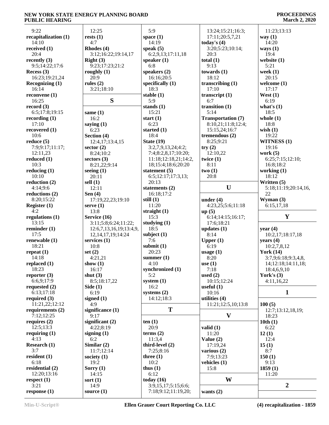#### **PROCEEDINGS March 2, 2020**

| 9:22                   | 12:25                   | 5:9                  | 13:24;15:21;16:3;         | 11:23;13:13          |
|------------------------|-------------------------|----------------------|---------------------------|----------------------|
| recapitalization (1)   | rests(1)                | space $(1)$          | 17:11;20:5,7,21           | way $(1)$            |
| 14:10                  | 4:7                     | 14:19                | today's $(4)$             | 14:20                |
| received $(1)$         | Rhodes (4)              | speak $(5)$          | 3:20;5:23;10:14;          | ways $(1)$           |
| 20:4                   | 3:12;16:22;19:14,17     | 6:2,9,13;17:11,18    | 20:3                      | 19:4                 |
| recently $(3)$         | Right(3)                | speaker $(1)$        | total $(1)$               | website (1)          |
| 9:5;14:22;17:6         | 9:23;17:23;21:2         | 6:8                  | 9:13                      | 5:21                 |
|                        |                         |                      |                           |                      |
| Recess $(3)$           | roughly $(1)$           | speakers $(2)$       | towards $(1)$             | week $(1)$           |
| 16:23;19:21,24         | 20:9                    | 16:16;20:5           | 18:12                     | 20:15                |
| <b>Recognizing (1)</b> | rules $(2)$             | specifically $(1)$   | transcribing $(1)$        | welcome $(1)$        |
| 16:14                  | 3:21;18:10              | 18:3                 | 17:10                     | 17:17                |
| reconvene (1)          |                         | stable $(1)$         | transcript $(1)$          | West $(1)$           |
| 16:25                  | S                       | 5:9                  | 6:7                       | 6:19                 |
| record $(3)$           |                         | stands $(1)$         | transition $(1)$          | what's $(1)$         |
| 6:5;17:8;19:15         | same $(1)$              | 15:21                | 5:14                      | 18:5                 |
| recording $(1)$        | 16:2                    | start $(1)$          | <b>Transportation (7)</b> | whole $(1)$          |
| 17:10                  |                         | 6:23                 |                           | 18:8                 |
|                        | saying $(1)$            |                      | 8:10,21;11:8;12:4;        |                      |
| recovered $(1)$        | 6:23                    | started $(1)$        | 15:15,24;16:7             | wish $(1)$           |
| 10:6                   | Section (4)             | 18:4                 | tremendous $(2)$          | 19:22                |
| reduce $(5)$           | 12:4,17;13:4,15         | State $(19)$         | 8:25;9:21                 | <b>WITNESS (1)</b>   |
| 7:9;9:17;11:17;        | sector $(2)$            | 3:2,7,9,13,24;4:2;   | try(2)                    | 19:16                |
| 12:11,23               | 8:24;10:2               | 7:4;8:2,8,17;10:20;  | 12:10,22                  | work $(5)$           |
| reduced $(1)$          | sectors $(3)$           | 11:18;12:18,21;14:2, | twice $(1)$               | 6:25;7:15;12:10;     |
| 10:3                   | 8:21,22;9:14            | 18;15:4;18:6;20:20   | 8:11                      | 16:8;18:2            |
| reducing $(1)$         | seeing $(1)$            | statement $(5)$      | two(1)                    | working $(1)$        |
|                        |                         |                      |                           |                      |
| 10:10                  | 20:11                   | 6:5;12:17;17:3,13;   | 20:8                      | 18:12                |
| reduction (2)          | sell $(1)$              | 20:13                |                           | Written (5)          |
| 4:14;9:6               | 12:11                   | statements $(2)$     | U                         | 5:18;11:19;20:14,16, |
| reductions $(2)$       | Sen $(4)$               | 16:18;17:2           |                           | 22                   |
| 8:20;15:22             | 17:19,22,23;19:10       | still $(1)$          | under $(4)$               | Wyman $(3)$          |
| Register (1)           | serve $(1)$             | 11:20                | 4:23,25;5:6;11:18         | 6:15,17,18           |
| 4:2                    | 13:8                    | straight $(1)$       | up(5)                     |                      |
| regulations $(1)$      | Service (16)            | 15:3                 | 6:14;14:15;16:17;         | Y                    |
| 13:15                  | 3:11;5:8;6:24;11:22;    | studying $(1)$       | 17:6;18:21                |                      |
| reminder $(1)$         |                         | 18:5                 |                           |                      |
|                        | 12:6,7,13,16,19;13:4,9, |                      | updates $(1)$             | year $(4)$           |
| 17:5                   | 12, 14, 17, 19; 14: 24  | subject $(1)$        | 8:14                      | 10:2,17;18:17,18     |
| renewable (1)          | services $(1)$          | 7:6                  | Upper $(1)$               | years $(4)$          |
| 18:21                  | 10:8                    | submit $(1)$         | 6:19                      | 10:2,7,8,12          |
| repeat $(1)$           | set $(2)$               | 20:23                | usage (1)                 | <b>York (14)</b>     |
| 14:18                  | 4:21,21                 | summer $(1)$         | 8:20                      | 3:7,9;6:18;9:3,4,8,  |
| replaced (1)           | show $(1)$              | $4:10^{-}$           | use $(1)$                 | 14;12:18;14:11,18;   |
| 18:23                  | 16:17                   | synchronized (1)     | 7:18                      | 18:4,6,9,10          |
| reporter $(3)$         | shut $(3)$              | 5:2                  | used $(2)$                | York's $(3)$         |
| 6:6,9;17:9             |                         | system $(1)$         | 10:15;12:24               | 4:11,16,22           |
|                        | 8:5;18:17,22            |                      |                           |                      |
| requested $(2)$        | Side $(1)$              | 16:2                 | useful $(1)$              |                      |
| 6:13;17:18             | 6:19                    | systems $(2)$        | 10:16                     | 1                    |
| required $(3)$         | signed $(1)$            | 14:12;18:3           | utilities (4)             |                      |
| 11:21,22;12:12         | 4:9                     |                      | 11:21;12:5,10;13:8        | 100(5)               |
| requirements $(2)$     | significance (1)        | T                    |                           | 12:7;13:12,18,19;    |
| 7:12;12:25             | 9:17                    |                      | V                         | 18:23                |
| requires $(2)$         | significant (2)         | ten $(1)$            |                           | 10th(1)              |
| 12:5:13:3              | 4:22;8:19               | 20:9                 | valid $(1)$               | 6:22                 |
| requiring $(1)$        | signing $(1)$           | terms $(2)$          | 11:20                     | 12(1)                |
| 4:13                   | 6:2                     | 11:3,4               | Value $(2)$               | 12:4                 |
|                        |                         |                      |                           |                      |
| Research (1)           | Similar $(2)$           | third-level (2)      | 17:19,24                  | 15(1)                |
| 3:7                    | 11:7;12:14              | 7:25;8:16            | various $(2)$             | 8:7                  |
| resident $(1)$         | society $(1)$           | three $(1)$          | 7:9;13:23                 | 150(1)               |
| 6:18                   | 19:2                    | 10:2                 | vehicles $(1)$            | 9:13                 |
| residential (2)        | Sorry $(1)$             | thus $(1)$           | 15:8                      | 1859(1)              |
| 12:20;13:16            | 14:15                   | 6:12                 |                           | 11:20                |
| respect $(1)$          | sort $(1)$              | today $(16)$         | W                         |                      |
| 3:21                   | 14:9                    | 3:9,15,17;5:15;6:6;  |                           | $\boldsymbol{2}$     |
| response(1)            | source $(1)$            | 7:18;9:12;11:19,20;  |                           |                      |
|                        |                         |                      | wants $(2)$               |                      |